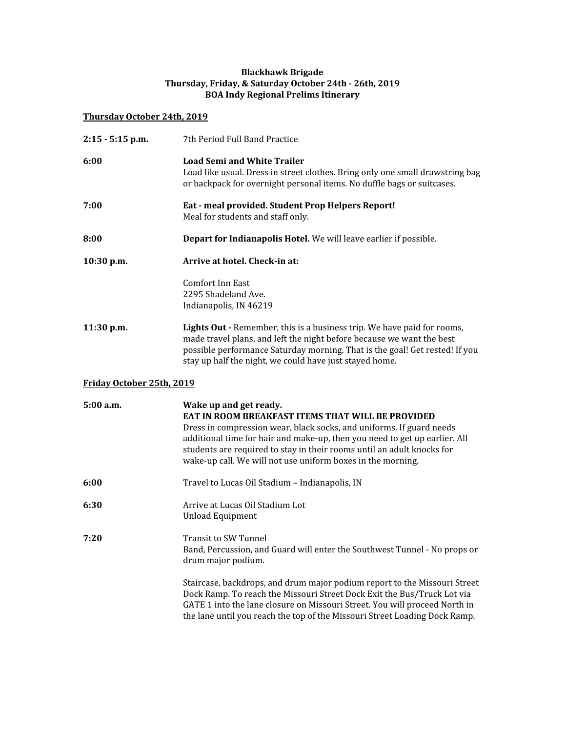#### **Blackhawk Brigade Thursday, Friday, & Saturday October 24th - 26th, 2019 BOA Indy Regional Prelims Itinerary**

## **Thursday October 24th, 2019**

| $2:15 - 5:15$ p.m.        | 7th Period Full Band Practice                                                                                                                                                                                                                                                                                                                                              |
|---------------------------|----------------------------------------------------------------------------------------------------------------------------------------------------------------------------------------------------------------------------------------------------------------------------------------------------------------------------------------------------------------------------|
| 6:00                      | <b>Load Semi and White Trailer</b><br>Load like usual. Dress in street clothes. Bring only one small drawstring bag<br>or backpack for overnight personal items. No duffle bags or suitcases.                                                                                                                                                                              |
| 7:00                      | Eat - meal provided. Student Prop Helpers Report!<br>Meal for students and staff only.                                                                                                                                                                                                                                                                                     |
| 8:00                      | Depart for Indianapolis Hotel. We will leave earlier if possible.                                                                                                                                                                                                                                                                                                          |
| $10:30$ p.m.              | Arrive at hotel. Check-in at:                                                                                                                                                                                                                                                                                                                                              |
|                           | <b>Comfort Inn East</b><br>2295 Shadeland Ave.<br>Indianapolis, IN 46219                                                                                                                                                                                                                                                                                                   |
| 11:30 p.m.                | Lights Out - Remember, this is a business trip. We have paid for rooms,<br>made travel plans, and left the night before because we want the best<br>possible performance Saturday morning. That is the goal! Get rested! If you<br>stay up half the night, we could have just stayed home.                                                                                 |
| Friday October 25th, 2019 |                                                                                                                                                                                                                                                                                                                                                                            |
| 5:00 a.m.                 | Wake up and get ready.<br>EAT IN ROOM BREAKFAST ITEMS THAT WILL BE PROVIDED<br>Dress in compression wear, black socks, and uniforms. If guard needs<br>additional time for hair and make-up, then you need to get up earlier. All<br>students are required to stay in their rooms until an adult knocks for<br>wake-up call. We will not use uniform boxes in the morning. |
| 6:00                      | Travel to Lucas Oil Stadium - Indianapolis, IN                                                                                                                                                                                                                                                                                                                             |
| 6:30                      | Arrive at Lucas Oil Stadium Lot<br><b>Unload Equipment</b>                                                                                                                                                                                                                                                                                                                 |
| 7:20                      | <b>Transit to SW Tunnel</b><br>Band, Percussion, and Guard will enter the Southwest Tunnel - No props or<br>drum major podium.                                                                                                                                                                                                                                             |
|                           | Staircase, backdrops, and drum major podium report to the Missouri Street<br>Dock Ramp. To reach the Missouri Street Dock Exit the Bus/Truck Lot via<br>GATE 1 into the lane closure on Missouri Street. You will proceed North in<br>the lane until you reach the top of the Missouri Street Loading Dock Ramp.                                                           |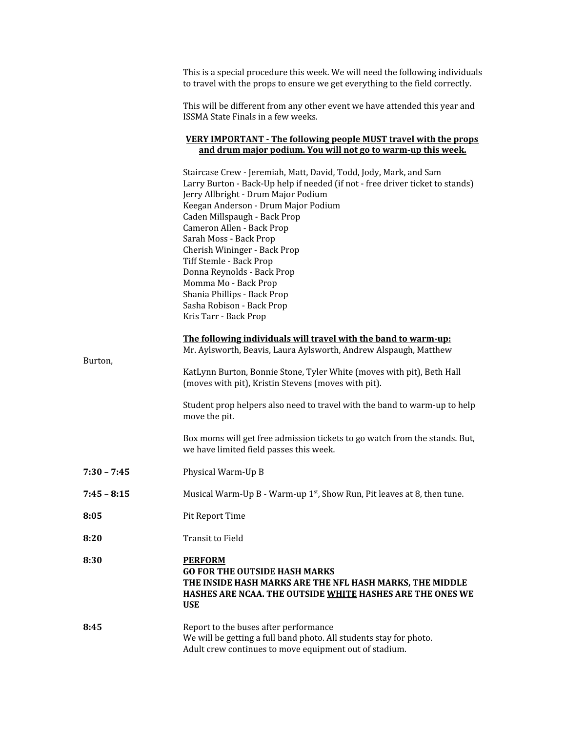|               | This is a special procedure this week. We will need the following individuals<br>to travel with the props to ensure we get everything to the field correctly.                                                                                                                                                                                                                                                                                                                                                                 |
|---------------|-------------------------------------------------------------------------------------------------------------------------------------------------------------------------------------------------------------------------------------------------------------------------------------------------------------------------------------------------------------------------------------------------------------------------------------------------------------------------------------------------------------------------------|
|               | This will be different from any other event we have attended this year and<br>ISSMA State Finals in a few weeks.                                                                                                                                                                                                                                                                                                                                                                                                              |
|               | <b>VERY IMPORTANT - The following people MUST travel with the props</b><br>and drum major podium. You will not go to warm-up this week.                                                                                                                                                                                                                                                                                                                                                                                       |
|               | Staircase Crew - Jeremiah, Matt, David, Todd, Jody, Mark, and Sam<br>Larry Burton - Back-Up help if needed (if not - free driver ticket to stands)<br>Jerry Allbright - Drum Major Podium<br>Keegan Anderson - Drum Major Podium<br>Caden Millspaugh - Back Prop<br>Cameron Allen - Back Prop<br>Sarah Moss - Back Prop<br>Cherish Wininger - Back Prop<br>Tiff Stemle - Back Prop<br>Donna Reynolds - Back Prop<br>Momma Mo - Back Prop<br>Shania Phillips - Back Prop<br>Sasha Robison - Back Prop<br>Kris Tarr - Back Prop |
|               | The following individuals will travel with the band to warm-up:<br>Mr. Aylsworth, Beavis, Laura Aylsworth, Andrew Alspaugh, Matthew                                                                                                                                                                                                                                                                                                                                                                                           |
| Burton,       | KatLynn Burton, Bonnie Stone, Tyler White (moves with pit), Beth Hall<br>(moves with pit), Kristin Stevens (moves with pit).                                                                                                                                                                                                                                                                                                                                                                                                  |
|               | Student prop helpers also need to travel with the band to warm-up to help<br>move the pit.                                                                                                                                                                                                                                                                                                                                                                                                                                    |
|               | Box moms will get free admission tickets to go watch from the stands. But,<br>we have limited field passes this week.                                                                                                                                                                                                                                                                                                                                                                                                         |
| $7:30 - 7:45$ | Physical Warm-Up B                                                                                                                                                                                                                                                                                                                                                                                                                                                                                                            |
| $7:45 - 8:15$ | Musical Warm-Up B - Warm-up $1st$ , Show Run, Pit leaves at 8, then tune.                                                                                                                                                                                                                                                                                                                                                                                                                                                     |
| 8:05          | Pit Report Time                                                                                                                                                                                                                                                                                                                                                                                                                                                                                                               |
| 8:20          | <b>Transit to Field</b>                                                                                                                                                                                                                                                                                                                                                                                                                                                                                                       |
| 8:30          | <b>PERFORM</b><br><b>GO FOR THE OUTSIDE HASH MARKS</b><br>THE INSIDE HASH MARKS ARE THE NFL HASH MARKS, THE MIDDLE<br>HASHES ARE NCAA. THE OUTSIDE WHITE HASHES ARE THE ONES WE<br><b>USE</b>                                                                                                                                                                                                                                                                                                                                 |
| 8:45          | Report to the buses after performance<br>We will be getting a full band photo. All students stay for photo.<br>Adult crew continues to move equipment out of stadium.                                                                                                                                                                                                                                                                                                                                                         |